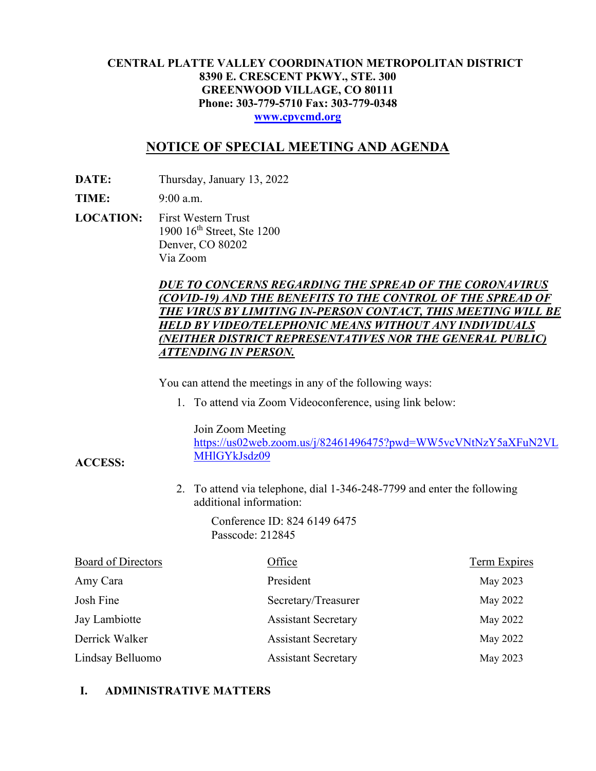### **CENTRAL PLATTE VALLEY COORDINATION METROPOLITAN DISTRICT 8390 E. CRESCENT PKWY., STE. 300 GREENWOOD VILLAGE, CO 80111 Phone: 303-779-5710 Fax: 303-779-0348 www.cpvcmd.org**

# **NOTICE OF SPECIAL MEETING AND AGENDA**

**DATE:** Thursday, January 13, 2022

**TIME:** 9:00 a.m.

**ACCESS:** 

**LOCATION:** First Western Trust 1900 16th Street, Ste 1200 Denver, CO 80202 Via Zoom

## *DUE TO CONCERNS REGARDING THE SPREAD OF THE CORONAVIRUS (COVID-19) AND THE BENEFITS TO THE CONTROL OF THE SPREAD OF THE VIRUS BY LIMITING IN-PERSON CONTACT, THIS MEETING WILL BE HELD BY VIDEO/TELEPHONIC MEANS WITHOUT ANY INDIVIDUALS (NEITHER DISTRICT REPRESENTATIVES NOR THE GENERAL PUBLIC) ATTENDING IN PERSON.*

You can attend the meetings in any of the following ways:

1. To attend via Zoom Videoconference, using link below:

Join Zoom Meeting

https://us02web.zoom.us/j/82461496475?pwd=WW5vcVNtNzY5aXFuN2VL MHlGYkJsdz09

2. To attend via telephone, dial 1-346-248-7799 and enter the following additional information:

> Conference ID: 824 6149 6475 Passcode: 212845

| Board of Directors | Office                     | Term Expires |
|--------------------|----------------------------|--------------|
| Amy Cara           | President                  | May 2023     |
| Josh Fine          | Secretary/Treasurer        | May 2022     |
| Jay Lambiotte      | <b>Assistant Secretary</b> | May 2022     |
| Derrick Walker     | <b>Assistant Secretary</b> | May 2022     |
| Lindsay Belluomo   | <b>Assistant Secretary</b> | May 2023     |

## **I. ADMINISTRATIVE MATTERS**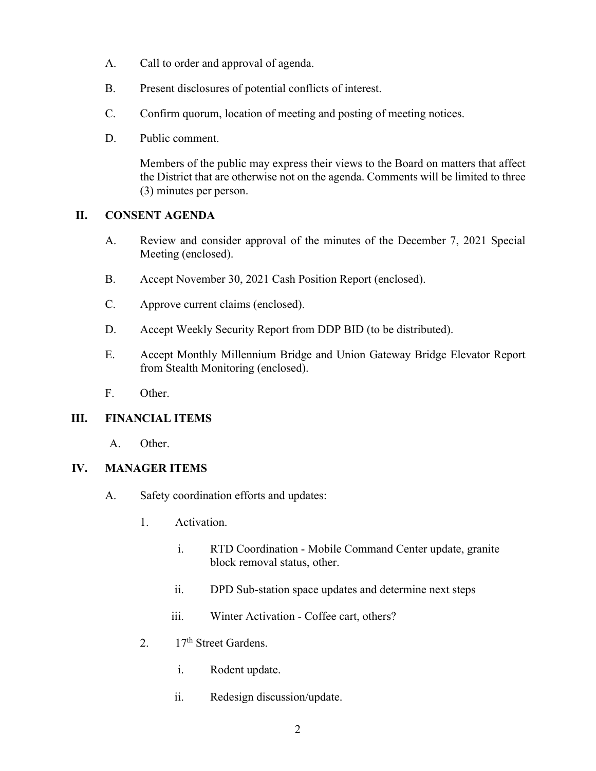- A. Call to order and approval of agenda.
- B. Present disclosures of potential conflicts of interest.
- C. Confirm quorum, location of meeting and posting of meeting notices.
- D. Public comment.

Members of the public may express their views to the Board on matters that affect the District that are otherwise not on the agenda. Comments will be limited to three (3) minutes per person.

### **II. CONSENT AGENDA**

- A. Review and consider approval of the minutes of the December 7, 2021 Special Meeting (enclosed).
- B. Accept November 30, 2021 Cash Position Report (enclosed).
- C. Approve current claims (enclosed).
- D. Accept Weekly Security Report from DDP BID (to be distributed).
- E. Accept Monthly Millennium Bridge and Union Gateway Bridge Elevator Report from Stealth Monitoring (enclosed).
- F. Other.

#### **III. FINANCIAL ITEMS**

A. Other.

#### **IV. MANAGER ITEMS**

- A. Safety coordination efforts and updates:
	- 1. Activation.
		- i. RTD Coordination Mobile Command Center update, granite block removal status, other.
		- ii. DPD Sub-station space updates and determine next steps
		- iii. Winter Activation Coffee cart, others?
	- 2.  $17<sup>th</sup>$  Street Gardens.
		- i. Rodent update.
		- ii. Redesign discussion/update.